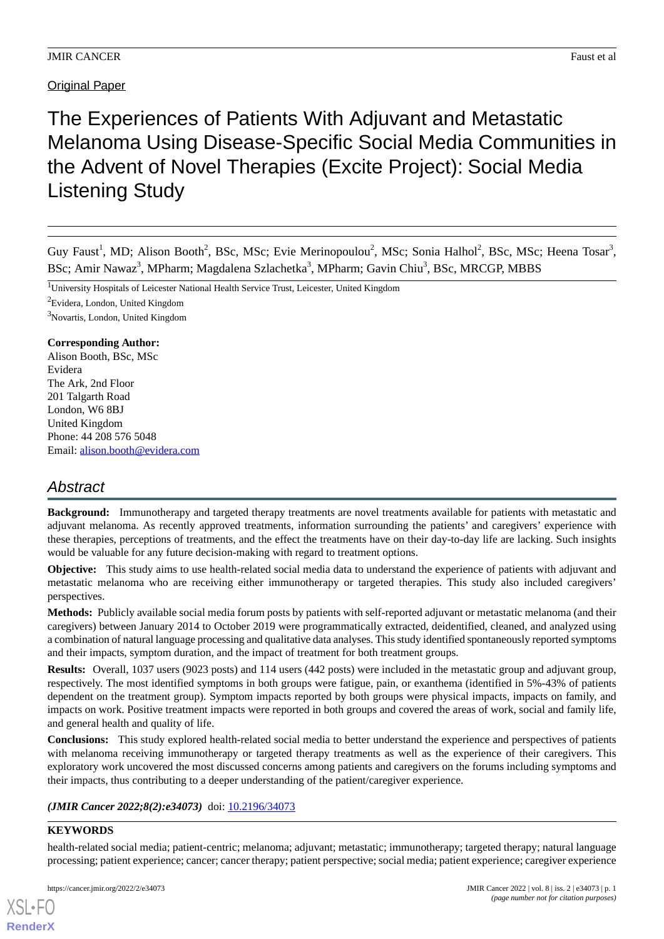**Original Paper** 

The Experiences of Patients With Adjuvant and Metastatic Melanoma Using Disease-Specific Social Media Communities in the Advent of Novel Therapies (Excite Project): Social Media Listening Study

Guy Faust<sup>1</sup>, MD; Alison Booth<sup>2</sup>, BSc, MSc; Evie Merinopoulou<sup>2</sup>, MSc; Sonia Halhol<sup>2</sup>, BSc, MSc; Heena Tosar<sup>3</sup>, BSc; Amir Nawaz<sup>3</sup>, MPharm; Magdalena Szlachetka<sup>3</sup>, MPharm; Gavin Chiu<sup>3</sup>, BSc, MRCGP, MBBS

<sup>1</sup>University Hospitals of Leicester National Health Service Trust, Leicester, United Kingdom

 ${}^{2}$ Evidera, London, United Kingdom

<sup>3</sup>Novartis, London, United Kingdom

## **Corresponding Author:**

Alison Booth, BSc, MSc Evidera The Ark, 2nd Floor 201 Talgarth Road London, W6 8BJ United Kingdom Phone: 44 208 576 5048 Email: [alison.booth@evidera.com](mailto:alison.booth@evidera.com)

# *Abstract*

**Background:** Immunotherapy and targeted therapy treatments are novel treatments available for patients with metastatic and adjuvant melanoma. As recently approved treatments, information surrounding the patients' and caregivers' experience with these therapies, perceptions of treatments, and the effect the treatments have on their day-to-day life are lacking. Such insights would be valuable for any future decision-making with regard to treatment options.

**Objective:** This study aims to use health-related social media data to understand the experience of patients with adjuvant and metastatic melanoma who are receiving either immunotherapy or targeted therapies. This study also included caregivers' perspectives.

**Methods:** Publicly available social media forum posts by patients with self-reported adjuvant or metastatic melanoma (and their caregivers) between January 2014 to October 2019 were programmatically extracted, deidentified, cleaned, and analyzed using a combination of natural language processing and qualitative data analyses. This study identified spontaneously reported symptoms and their impacts, symptom duration, and the impact of treatment for both treatment groups.

**Results:** Overall, 1037 users (9023 posts) and 114 users (442 posts) were included in the metastatic group and adjuvant group, respectively. The most identified symptoms in both groups were fatigue, pain, or exanthema (identified in 5%-43% of patients dependent on the treatment group). Symptom impacts reported by both groups were physical impacts, impacts on family, and impacts on work. Positive treatment impacts were reported in both groups and covered the areas of work, social and family life, and general health and quality of life.

**Conclusions:** This study explored health-related social media to better understand the experience and perspectives of patients with melanoma receiving immunotherapy or targeted therapy treatments as well as the experience of their caregivers. This exploratory work uncovered the most discussed concerns among patients and caregivers on the forums including symptoms and their impacts, thus contributing to a deeper understanding of the patient/caregiver experience.

*(JMIR Cancer 2022;8(2):e34073)* doi: [10.2196/34073](http://dx.doi.org/10.2196/34073)

## **KEYWORDS**

[XSL](http://www.w3.org/Style/XSL)•FO **[RenderX](http://www.renderx.com/)**

health-related social media; patient-centric; melanoma; adjuvant; metastatic; immunotherapy; targeted therapy; natural language processing; patient experience; cancer; cancer therapy; patient perspective; social media; patient experience; caregiver experience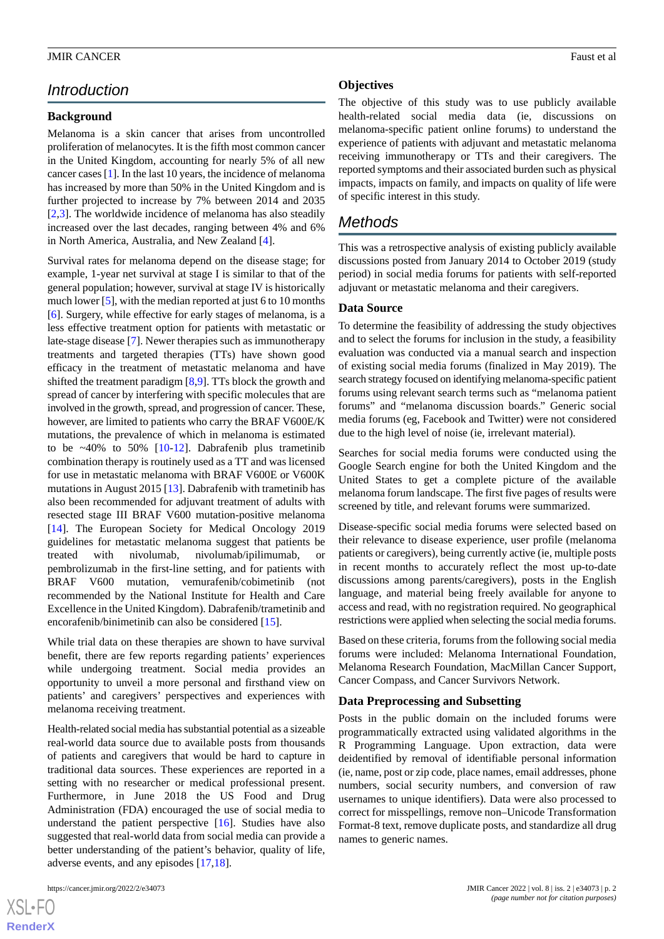# *Introduction*

# **Background**

Melanoma is a skin cancer that arises from uncontrolled proliferation of melanocytes. It is the fifth most common cancer in the United Kingdom, accounting for nearly 5% of all new cancer cases [\[1](#page-8-0)]. In the last 10 years, the incidence of melanoma has increased by more than 50% in the United Kingdom and is further projected to increase by 7% between 2014 and 2035 [[2](#page-8-1)[,3](#page-8-2)]. The worldwide incidence of melanoma has also steadily increased over the last decades, ranging between 4% and 6% in North America, Australia, and New Zealand [[4\]](#page-8-3).

Survival rates for melanoma depend on the disease stage; for example, 1-year net survival at stage I is similar to that of the general population; however, survival at stage IV is historically much lower [\[5\]](#page-8-4), with the median reported at just 6 to 10 months [[6\]](#page-9-0). Surgery, while effective for early stages of melanoma, is a less effective treatment option for patients with metastatic or late-stage disease [\[7](#page-9-1)]. Newer therapies such as immunotherapy treatments and targeted therapies (TTs) have shown good efficacy in the treatment of metastatic melanoma and have shifted the treatment paradigm [[8](#page-9-2),[9\]](#page-9-3). TTs block the growth and spread of cancer by interfering with specific molecules that are involved in the growth, spread, and progression of cancer. These, however, are limited to patients who carry the BRAF V600E/K mutations, the prevalence of which in melanoma is estimated to be  $~40\%$  to 50% [\[10](#page-9-4)-[12\]](#page-9-5). Dabrafenib plus trametinib combination therapy is routinely used as a TT and was licensed for use in metastatic melanoma with BRAF V600E or V600K mutations in August 2015 [\[13](#page-9-6)]. Dabrafenib with trametinib has also been recommended for adjuvant treatment of adults with resected stage III BRAF V600 mutation-positive melanoma [[14\]](#page-9-7). The European Society for Medical Oncology 2019 guidelines for metastatic melanoma suggest that patients be treated with nivolumab, nivolumab/ipilimumab, or pembrolizumab in the first-line setting, and for patients with BRAF V600 mutation, vemurafenib/cobimetinib (not recommended by the National Institute for Health and Care Excellence in the United Kingdom). Dabrafenib/trametinib and encorafenib/binimetinib can also be considered [\[15](#page-9-8)].

While trial data on these therapies are shown to have survival benefit, there are few reports regarding patients' experiences while undergoing treatment. Social media provides an opportunity to unveil a more personal and firsthand view on patients' and caregivers' perspectives and experiences with melanoma receiving treatment.

Health-related social media has substantial potential as a sizeable real-world data source due to available posts from thousands of patients and caregivers that would be hard to capture in traditional data sources. These experiences are reported in a setting with no researcher or medical professional present. Furthermore, in June 2018 the US Food and Drug Administration (FDA) encouraged the use of social media to understand the patient perspective [[16\]](#page-9-9). Studies have also suggested that real-world data from social media can provide a better understanding of the patient's behavior, quality of life, adverse events, and any episodes [[17,](#page-9-10)[18](#page-9-11)].

## **Objectives**

The objective of this study was to use publicly available health-related social media data (ie, discussions on melanoma-specific patient online forums) to understand the experience of patients with adjuvant and metastatic melanoma receiving immunotherapy or TTs and their caregivers. The reported symptoms and their associated burden such as physical impacts, impacts on family, and impacts on quality of life were of specific interest in this study.

# *Methods*

This was a retrospective analysis of existing publicly available discussions posted from January 2014 to October 2019 (study period) in social media forums for patients with self-reported adjuvant or metastatic melanoma and their caregivers.

## **Data Source**

To determine the feasibility of addressing the study objectives and to select the forums for inclusion in the study, a feasibility evaluation was conducted via a manual search and inspection of existing social media forums (finalized in May 2019). The search strategy focused on identifying melanoma-specific patient forums using relevant search terms such as "melanoma patient forums" and "melanoma discussion boards." Generic social media forums (eg, Facebook and Twitter) were not considered due to the high level of noise (ie, irrelevant material).

Searches for social media forums were conducted using the Google Search engine for both the United Kingdom and the United States to get a complete picture of the available melanoma forum landscape. The first five pages of results were screened by title, and relevant forums were summarized.

Disease-specific social media forums were selected based on their relevance to disease experience, user profile (melanoma patients or caregivers), being currently active (ie, multiple posts in recent months to accurately reflect the most up-to-date discussions among parents/caregivers), posts in the English language, and material being freely available for anyone to access and read, with no registration required. No geographical restrictions were applied when selecting the social media forums.

Based on these criteria, forums from the following social media forums were included: Melanoma International Foundation, Melanoma Research Foundation, MacMillan Cancer Support, Cancer Compass, and Cancer Survivors Network.

## **Data Preprocessing and Subsetting**

Posts in the public domain on the included forums were programmatically extracted using validated algorithms in the R Programming Language. Upon extraction, data were deidentified by removal of identifiable personal information (ie, name, post or zip code, place names, email addresses, phone numbers, social security numbers, and conversion of raw usernames to unique identifiers). Data were also processed to correct for misspellings, remove non–Unicode Transformation Format-8 text, remove duplicate posts, and standardize all drug names to generic names.

 $X$ SL•F **[RenderX](http://www.renderx.com/)**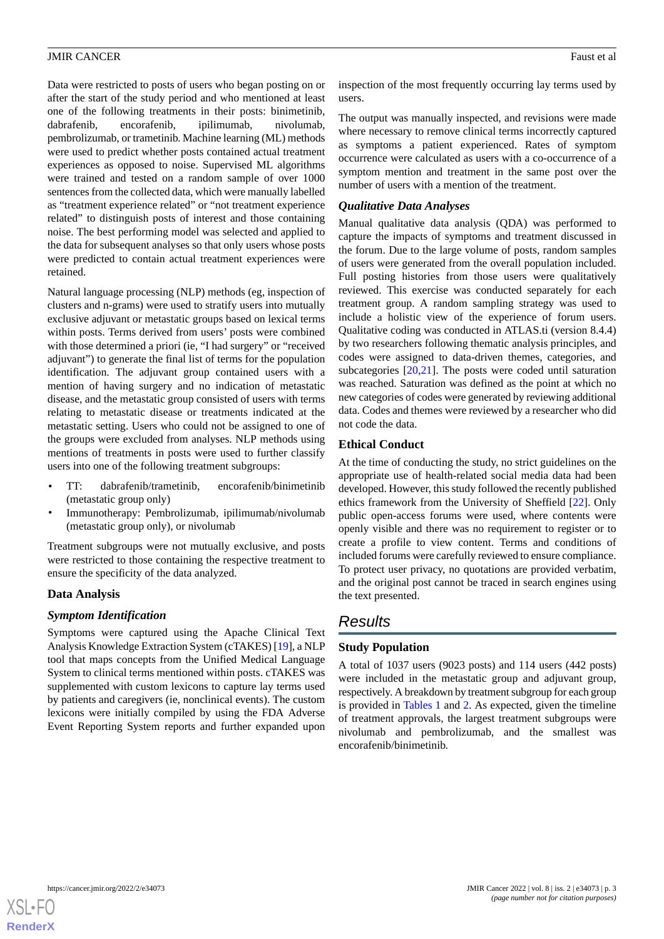Data were restricted to posts of users who began posting on or after the start of the study period and who mentioned at least one of the following treatments in their posts: binimetinib, dabrafenib, encorafenib, ipilimumab, nivolumab, pembrolizumab, or trametinib. Machine learning (ML) methods were used to predict whether posts contained actual treatment experiences as opposed to noise. Supervised ML algorithms were trained and tested on a random sample of over 1000 sentences from the collected data, which were manually labelled as "treatment experience related" or "not treatment experience related" to distinguish posts of interest and those containing noise. The best performing model was selected and applied to the data for subsequent analyses so that only users whose posts were predicted to contain actual treatment experiences were retained.

Natural language processing (NLP) methods (eg, inspection of clusters and n-grams) were used to stratify users into mutually exclusive adjuvant or metastatic groups based on lexical terms within posts. Terms derived from users' posts were combined with those determined a priori (ie, "I had surgery" or "received adjuvant") to generate the final list of terms for the population identification. The adjuvant group contained users with a mention of having surgery and no indication of metastatic disease, and the metastatic group consisted of users with terms relating to metastatic disease or treatments indicated at the metastatic setting. Users who could not be assigned to one of the groups were excluded from analyses. NLP methods using mentions of treatments in posts were used to further classify users into one of the following treatment subgroups:

- TT: dabrafenib/trametinib, encorafenib/binimetinib (metastatic group only)
- Immunotherapy: Pembrolizumab, ipilimumab/nivolumab (metastatic group only), or nivolumab

Treatment subgroups were not mutually exclusive, and posts were restricted to those containing the respective treatment to ensure the specificity of the data analyzed.

## **Data Analysis**

## *Symptom Identification*

Symptoms were captured using the Apache Clinical Text Analysis Knowledge Extraction System (cTAKES) [[19\]](#page-9-12), a NLP tool that maps concepts from the Unified Medical Language System to clinical terms mentioned within posts. cTAKES was supplemented with custom lexicons to capture lay terms used by patients and caregivers (ie, nonclinical events). The custom lexicons were initially compiled by using the FDA Adverse Event Reporting System reports and further expanded upon

inspection of the most frequently occurring lay terms used by users.

The output was manually inspected, and revisions were made where necessary to remove clinical terms incorrectly captured as symptoms a patient experienced. Rates of symptom occurrence were calculated as users with a co-occurrence of a symptom mention and treatment in the same post over the number of users with a mention of the treatment.

# *Qualitative Data Analyses*

Manual qualitative data analysis (QDA) was performed to capture the impacts of symptoms and treatment discussed in the forum. Due to the large volume of posts, random samples of users were generated from the overall population included. Full posting histories from those users were qualitatively reviewed. This exercise was conducted separately for each treatment group. A random sampling strategy was used to include a holistic view of the experience of forum users. Qualitative coding was conducted in ATLAS.ti (version 8.4.4) by two researchers following thematic analysis principles, and codes were assigned to data-driven themes, categories, and subcategories [[20,](#page-9-13)[21\]](#page-9-14). The posts were coded until saturation was reached. Saturation was defined as the point at which no new categories of codes were generated by reviewing additional data. Codes and themes were reviewed by a researcher who did not code the data.

## **Ethical Conduct**

At the time of conducting the study, no strict guidelines on the appropriate use of health-related social media data had been developed. However, this study followed the recently published ethics framework from the University of Sheffield [[22\]](#page-9-15). Only public open-access forums were used, where contents were openly visible and there was no requirement to register or to create a profile to view content. Terms and conditions of included forums were carefully reviewed to ensure compliance. To protect user privacy, no quotations are provided verbatim, and the original post cannot be traced in search engines using the text presented.

# *Results*

# **Study Population**

A total of 1037 users (9023 posts) and 114 users (442 posts) were included in the metastatic group and adjuvant group, respectively. A breakdown by treatment subgroup for each group is provided in [Tables 1](#page-3-0) and [2](#page-3-1). As expected, given the timeline of treatment approvals, the largest treatment subgroups were nivolumab and pembrolizumab, and the smallest was encorafenib/binimetinib.

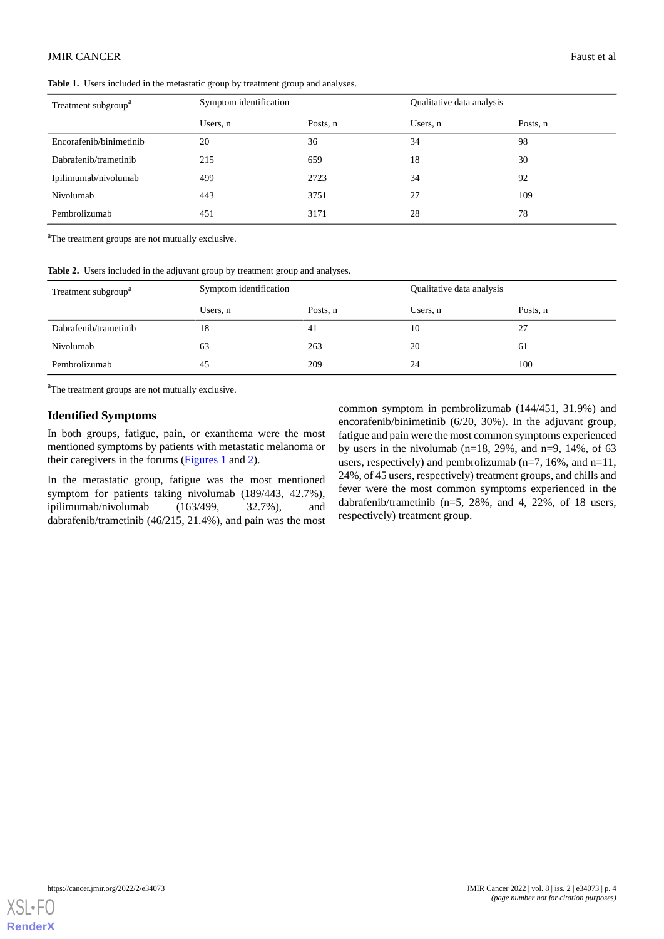<span id="page-3-0"></span>**Table 1.** Users included in the metastatic group by treatment group and analyses.

| Treatment subgroup <sup>a</sup> | Symptom identification |          | Qualitative data analysis |          |
|---------------------------------|------------------------|----------|---------------------------|----------|
|                                 | Users, n               | Posts, n | Users, n                  | Posts, n |
| Encorafenib/binimetinib         | 20                     | 36       | 34                        | 98       |
| Dabrafenib/trametinib           | 215                    | 659      | 18                        | 30       |
| Ipilimumab/nivolumab            | 499                    | 2723     | 34                        | 92       |
| Nivolumab                       | 443                    | 3751     | 27                        | 109      |
| Pembrolizumab                   | 451                    | 3171     | 28                        | 78       |

<span id="page-3-1"></span><sup>a</sup>The treatment groups are not mutually exclusive.

|  |  |  |  |  | Table 2. Users included in the adjuvant group by treatment group and analyses. |
|--|--|--|--|--|--------------------------------------------------------------------------------|
|--|--|--|--|--|--------------------------------------------------------------------------------|

| Treatment subgroup <sup>a</sup> | Symptom identification |          | Qualitative data analysis |          |
|---------------------------------|------------------------|----------|---------------------------|----------|
|                                 | Users, n               | Posts, n | Users, n                  | Posts, n |
| Dabrafenib/trametinib           | 18                     | 41       | 10                        | 27       |
| Nivolumab                       | 63                     | 263      | 20                        | 61       |
| Pembrolizumab                   | 45                     | 209      | 24                        | 100      |

<sup>a</sup>The treatment groups are not mutually exclusive.

#### **Identified Symptoms**

In both groups, fatigue, pain, or exanthema were the most mentioned symptoms by patients with metastatic melanoma or their caregivers in the forums ([Figures 1](#page-4-0) and [2\)](#page-5-0).

In the metastatic group, fatigue was the most mentioned symptom for patients taking nivolumab (189/443, 42.7%), ipilimumab/nivolumab (163/499, 32.7%), and dabrafenib/trametinib (46/215, 21.4%), and pain was the most

common symptom in pembrolizumab (144/451, 31.9%) and encorafenib/binimetinib (6/20, 30%). In the adjuvant group, fatigue and pain were the most common symptoms experienced by users in the nivolumab (n=18, 29%, and n=9, 14%, of 63 users, respectively) and pembrolizumab ( $n=7$ , 16%, and  $n=11$ , 24%, of 45 users, respectively) treatment groups, and chills and fever were the most common symptoms experienced in the dabrafenib/trametinib (n=5, 28%, and 4, 22%, of 18 users, respectively) treatment group.

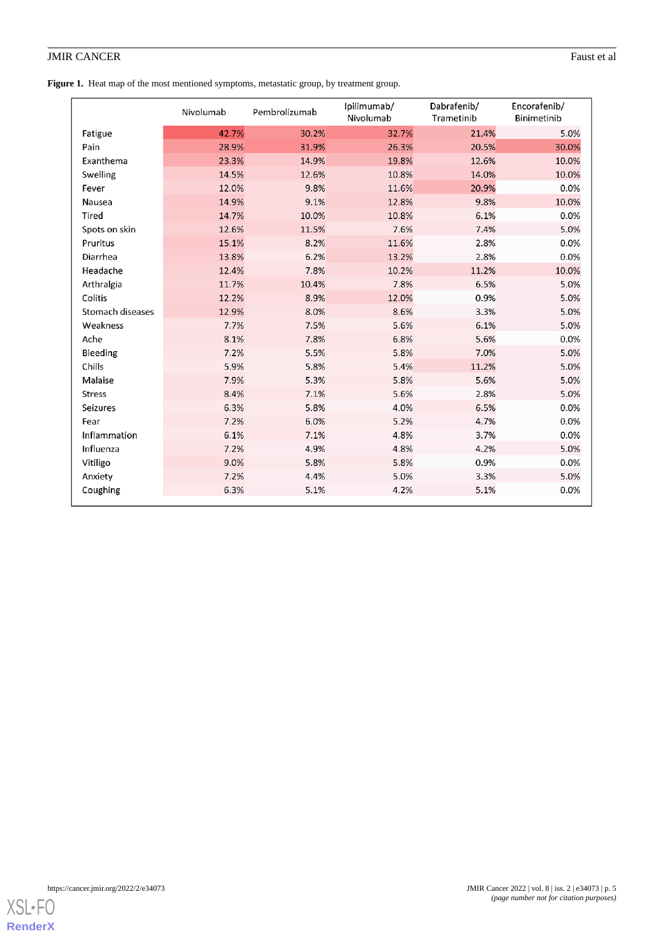# **JMIR CANCER** Faust et al.

<span id="page-4-0"></span>Figure 1. Heat map of the most mentioned symptoms, metastatic group, by treatment group.

|                  | Nivolumab | Pembrolizumab | Ipilimumab/<br>Nivolumab | Dabrafenib/<br>Trametinib | Encorafenib/<br>Binimetinib |
|------------------|-----------|---------------|--------------------------|---------------------------|-----------------------------|
| Fatigue          | 42.7%     | 30.2%         | 32.7%                    | 21.4%                     | 5.0%                        |
| Pain             | 28.9%     | 31.9%         | 26.3%                    | 20.5%                     | 30.0%                       |
| Exanthema        | 23.3%     | 14.9%         | 19.8%                    | 12.6%                     | 10.0%                       |
| Swelling         | 14.5%     | 12.6%         | 10.8%                    | 14.0%                     | 10.0%                       |
| Fever            | 12.0%     | 9.8%          | 11.6%                    | 20.9%                     | 0.0%                        |
| Nausea           | 14.9%     | 9.1%          | 12.8%                    | 9.8%                      | 10.0%                       |
| Tired            | 14.7%     | 10.0%         | 10.8%                    | 6.1%                      | 0.0%                        |
| Spots on skin    | 12.6%     | 11.5%         | 7.6%                     | 7.4%                      | 5.0%                        |
| Pruritus         | 15.1%     | 8.2%          | 11.6%                    | 2.8%                      | 0.0%                        |
| Diarrhea         | 13.8%     | 6.2%          | 13.2%                    | 2.8%                      | 0.0%                        |
| Headache         | 12.4%     | 7.8%          | 10.2%                    | 11.2%                     | 10.0%                       |
| Arthralgia       | 11.7%     | 10.4%         | 7.8%                     | 6.5%                      | 5.0%                        |
| Colitis          | 12.2%     | 8.9%          | 12.0%                    | 0.9%                      | 5.0%                        |
| Stomach diseases | 12.9%     | 8.0%          | 8.6%                     | 3.3%                      | 5.0%                        |
| Weakness         | 7.7%      | 7.5%          | 5.6%                     | 6.1%                      | 5.0%                        |
| Ache             | 8.1%      | 7.8%          | 6.8%                     | 5.6%                      | 0.0%                        |
| Bleeding         | 7.2%      | 5.5%          | 5.8%                     | 7.0%                      | 5.0%                        |
| Chills           | 5.9%      | 5.8%          | 5.4%                     | 11.2%                     | 5.0%                        |
| Malaise          | 7.9%      | 5.3%          | 5.8%                     | 5.6%                      | 5.0%                        |
| <b>Stress</b>    | 8.4%      | 7.1%          | 5.6%                     | 2.8%                      | 5.0%                        |
| Seizures         | 6.3%      | 5.8%          | 4.0%                     | 6.5%                      | 0.0%                        |
| Fear             | 7.2%      | 6.0%          | 5.2%                     | 4.7%                      | 0.0%                        |
| Inflammation     | 6.1%      | 7.1%          | 4.8%                     | 3.7%                      | 0.0%                        |
| Influenza        | 7.2%      | 4.9%          | 4.8%                     | 4.2%                      | 5.0%                        |
| Vitiligo         | 9.0%      | 5.8%          | 5.8%                     | 0.9%                      | 0.0%                        |
| Anxiety          | 7.2%      | 4.4%          | 5.0%                     | 3.3%                      | 5.0%                        |
| Coughing         | 6.3%      | 5.1%          | 4.2%                     | 5.1%                      | 0.0%                        |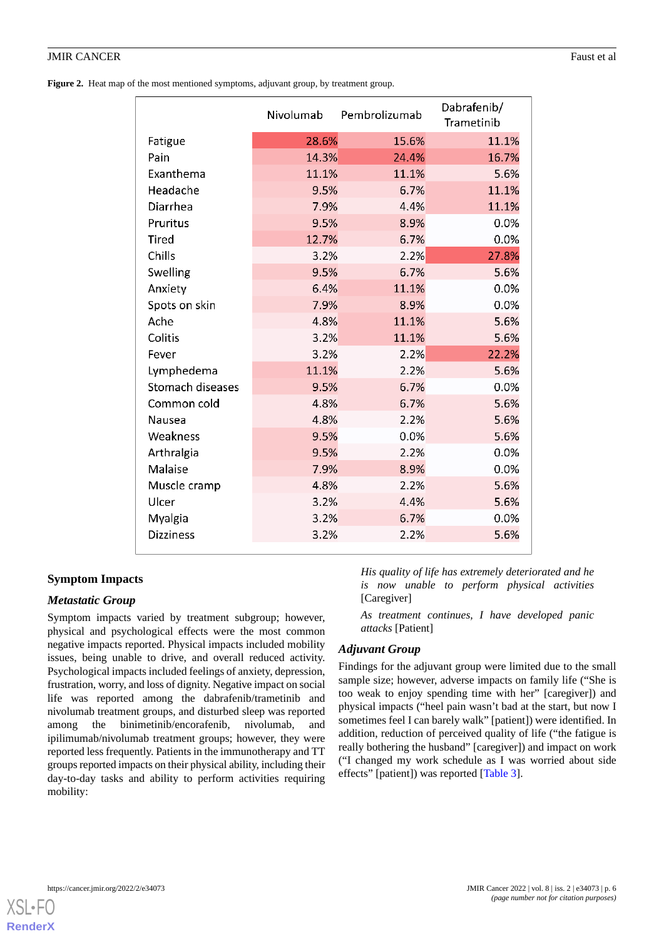<span id="page-5-0"></span>Figure 2. Heat map of the most mentioned symptoms, adjuvant group, by treatment group.

|                  | Nivolumab | Pembrolizumab | Dabrafenib/<br>Trametinib |
|------------------|-----------|---------------|---------------------------|
| Fatigue          | 28.6%     | 15.6%         | 11.1%                     |
| Pain             | 14.3%     | 24.4%         | 16.7%                     |
| Exanthema        | 11.1%     | 11.1%         | 5.6%                      |
| Headache         | 9.5%      | 6.7%          | 11.1%                     |
| Diarrhea         | 7.9%      | 4.4%          | 11.1%                     |
| Pruritus         | 9.5%      | 8.9%          | 0.0%                      |
| <b>Tired</b>     | 12.7%     | 6.7%          | 0.0%                      |
| Chills           | 3.2%      | 2.2%          | 27.8%                     |
| Swelling         | 9.5%      | 6.7%          | 5.6%                      |
| Anxiety          | 6.4%      | 11.1%         | 0.0%                      |
| Spots on skin    | 7.9%      | 8.9%          | 0.0%                      |
| Ache             | 4.8%      | 11.1%         | 5.6%                      |
| Colitis          | 3.2%      | 11.1%         | 5.6%                      |
| Fever            | 3.2%      | 2.2%          | 22.2%                     |
| Lymphedema       | 11.1%     | 2.2%          | 5.6%                      |
| Stomach diseases | 9.5%      | 6.7%          | 0.0%                      |
| Common cold      | 4.8%      | 6.7%          | 5.6%                      |
| Nausea           | 4.8%      | 2.2%          | 5.6%                      |
| Weakness         | 9.5%      | 0.0%          | 5.6%                      |
| Arthralgia       | 9.5%      | 2.2%          | 0.0%                      |
| Malaise          | 7.9%      | 8.9%          | 0.0%                      |
| Muscle cramp     | 4.8%      | 2.2%          | 5.6%                      |
| Ulcer            | 3.2%      | 4.4%          | 5.6%                      |
| Myalgia          | 3.2%      | 6.7%          | 0.0%                      |
| <b>Dizziness</b> | 3.2%      | 2.2%          | 5.6%                      |
|                  |           |               |                           |

# **Symptom Impacts**

# *Metastatic Group*

Symptom impacts varied by treatment subgroup; however, physical and psychological effects were the most common negative impacts reported. Physical impacts included mobility issues, being unable to drive, and overall reduced activity. Psychological impacts included feelings of anxiety, depression, frustration, worry, and loss of dignity. Negative impact on social life was reported among the dabrafenib/trametinib and nivolumab treatment groups, and disturbed sleep was reported among the binimetinib/encorafenib, nivolumab, and ipilimumab/nivolumab treatment groups; however, they were reported less frequently. Patients in the immunotherapy and TT groups reported impacts on their physical ability, including their day-to-day tasks and ability to perform activities requiring mobility:

*His quality of life has extremely deteriorated and he is now unable to perform physical activities* [Caregiver]

*As treatment continues, I have developed panic attacks* [Patient]

# *Adjuvant Group*

Findings for the adjuvant group were limited due to the small sample size; however, adverse impacts on family life ("She is too weak to enjoy spending time with her" [caregiver]) and physical impacts ("heel pain wasn't bad at the start, but now I sometimes feel I can barely walk" [patient]) were identified. In addition, reduction of perceived quality of life ("the fatigue is really bothering the husband" [caregiver]) and impact on work ("I changed my work schedule as I was worried about side effects" [patient]) was reported [[Table 3](#page-6-0)].

[XSL](http://www.w3.org/Style/XSL)•FO **[RenderX](http://www.renderx.com/)**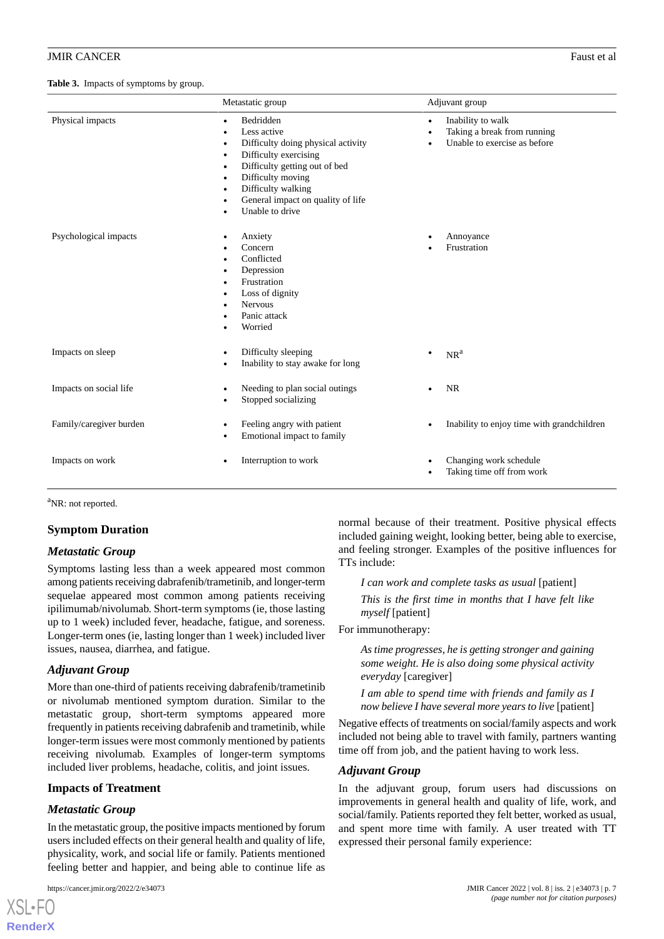#### <span id="page-6-0"></span>**Table 3.** Impacts of symptoms by group.

|                         | Metastatic group                                                                                                                                                                                                                                                                                                                                 | Adjuvant group                                                                                                          |  |
|-------------------------|--------------------------------------------------------------------------------------------------------------------------------------------------------------------------------------------------------------------------------------------------------------------------------------------------------------------------------------------------|-------------------------------------------------------------------------------------------------------------------------|--|
| Physical impacts        | Bedridden<br>$\bullet$<br>Less active<br>$\bullet$<br>Difficulty doing physical activity<br>$\bullet$<br>Difficulty exercising<br>$\bullet$<br>Difficulty getting out of bed<br>$\bullet$<br>Difficulty moving<br>$\bullet$<br>Difficulty walking<br>$\bullet$<br>General impact on quality of life<br>$\bullet$<br>Unable to drive<br>$\bullet$ | Inability to walk<br>$\bullet$<br>Taking a break from running<br>$\bullet$<br>Unable to exercise as before<br>$\bullet$ |  |
| Psychological impacts   | Anxiety<br>٠<br>Concern<br>Conflicted<br>$\bullet$<br>Depression<br>$\bullet$<br>Frustration<br>$\bullet$<br>Loss of dignity<br>٠<br>Nervous<br>$\bullet$<br>Panic attack<br>Worried                                                                                                                                                             | Annoyance<br>Frustration                                                                                                |  |
| Impacts on sleep        | Difficulty sleeping<br>$\bullet$<br>Inability to stay awake for long<br>$\bullet$                                                                                                                                                                                                                                                                | NR <sup>a</sup>                                                                                                         |  |
| Impacts on social life  | Needing to plan social outings<br>٠<br>Stopped socializing<br>$\bullet$                                                                                                                                                                                                                                                                          | <b>NR</b>                                                                                                               |  |
| Family/caregiver burden | Feeling angry with patient<br>$\bullet$<br>Emotional impact to family                                                                                                                                                                                                                                                                            | Inability to enjoy time with grandchildren                                                                              |  |
| Impacts on work         | Interruption to work                                                                                                                                                                                                                                                                                                                             | Changing work schedule<br>Taking time off from work<br>$\bullet$                                                        |  |

<sup>a</sup>NR: not reported.

## **Symptom Duration**

#### *Metastatic Group*

Symptoms lasting less than a week appeared most common among patients receiving dabrafenib/trametinib, and longer-term sequelae appeared most common among patients receiving ipilimumab/nivolumab. Short-term symptoms (ie, those lasting up to 1 week) included fever, headache, fatigue, and soreness. Longer-term ones (ie, lasting longer than 1 week) included liver issues, nausea, diarrhea, and fatigue.

## *Adjuvant Group*

More than one-third of patients receiving dabrafenib/trametinib or nivolumab mentioned symptom duration. Similar to the metastatic group, short-term symptoms appeared more frequently in patients receiving dabrafenib and trametinib, while longer-term issues were most commonly mentioned by patients receiving nivolumab. Examples of longer-term symptoms included liver problems, headache, colitis, and joint issues.

# **Impacts of Treatment**

# *Metastatic Group*

[XSL](http://www.w3.org/Style/XSL)•FO **[RenderX](http://www.renderx.com/)**

In the metastatic group, the positive impacts mentioned by forum users included effects on their general health and quality of life, physicality, work, and social life or family. Patients mentioned feeling better and happier, and being able to continue life as

normal because of their treatment. Positive physical effects included gaining weight, looking better, being able to exercise, and feeling stronger. Examples of the positive influences for TTs include:

*I can work and complete tasks as usual* [patient] *This is the first time in months that I have felt like myself* [patient]

For immunotherapy:

*As time progresses, he is getting stronger and gaining some weight. He is also doing some physical activity everyday* [caregiver]

*I am able to spend time with friends and family as I now believe I have several more years to live* [patient]

Negative effects of treatments on social/family aspects and work included not being able to travel with family, partners wanting time off from job, and the patient having to work less.

#### *Adjuvant Group*

In the adjuvant group, forum users had discussions on improvements in general health and quality of life, work, and social/family. Patients reported they felt better, worked as usual, and spent more time with family. A user treated with TT expressed their personal family experience: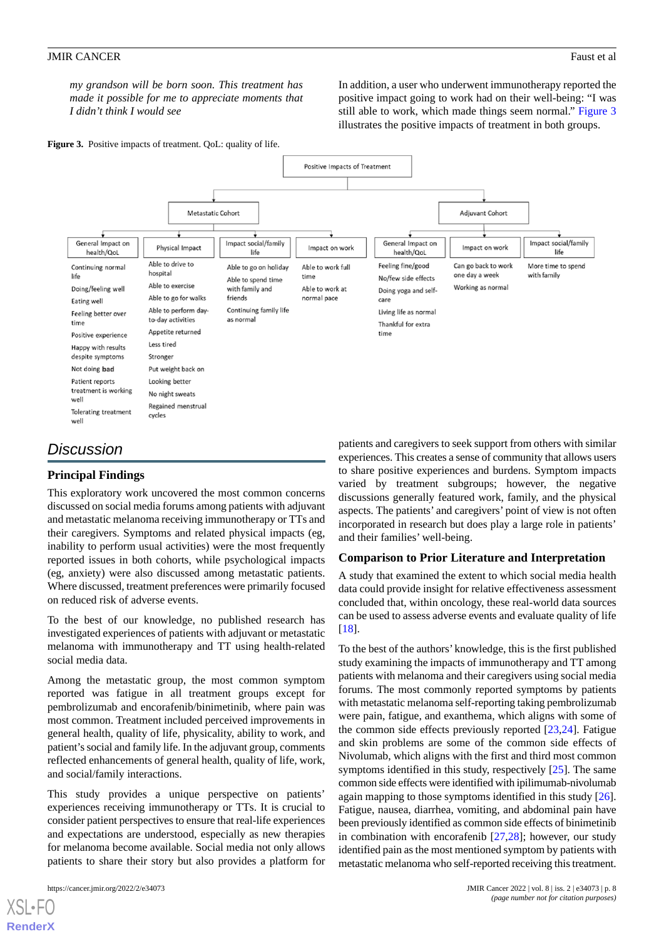*my grandson will be born soon. This treatment has made it possible for me to appreciate moments that I didn't think I would see*

In addition, a user who underwent immunotherapy reported the positive impact going to work had on their well-being: "I was still able to work, which made things seem normal." [Figure 3](#page-7-0) illustrates the positive impacts of treatment in both groups.

<span id="page-7-0"></span>Figure 3. Positive impacts of treatment. QoL: quality of life.



# *Discussion*

# **Principal Findings**

This exploratory work uncovered the most common concerns discussed on social media forums among patients with adjuvant and metastatic melanoma receiving immunotherapy or TTs and their caregivers. Symptoms and related physical impacts (eg, inability to perform usual activities) were the most frequently reported issues in both cohorts, while psychological impacts (eg, anxiety) were also discussed among metastatic patients. Where discussed, treatment preferences were primarily focused on reduced risk of adverse events.

To the best of our knowledge, no published research has investigated experiences of patients with adjuvant or metastatic melanoma with immunotherapy and TT using health-related social media data.

Among the metastatic group, the most common symptom reported was fatigue in all treatment groups except for pembrolizumab and encorafenib/binimetinib, where pain was most common. Treatment included perceived improvements in general health, quality of life, physicality, ability to work, and patient's social and family life. In the adjuvant group, comments reflected enhancements of general health, quality of life, work, and social/family interactions.

This study provides a unique perspective on patients' experiences receiving immunotherapy or TTs. It is crucial to consider patient perspectives to ensure that real-life experiences and expectations are understood, especially as new therapies for melanoma become available. Social media not only allows patients to share their story but also provides a platform for

patients and caregivers to seek support from others with similar experiences. This creates a sense of community that allows users to share positive experiences and burdens. Symptom impacts varied by treatment subgroups; however, the negative discussions generally featured work, family, and the physical aspects. The patients' and caregivers' point of view is not often incorporated in research but does play a large role in patients' and their families' well-being.

# **Comparison to Prior Literature and Interpretation**

A study that examined the extent to which social media health data could provide insight for relative effectiveness assessment concluded that, within oncology, these real-world data sources can be used to assess adverse events and evaluate quality of life [[18\]](#page-9-11).

To the best of the authors' knowledge, this is the first published study examining the impacts of immunotherapy and TT among patients with melanoma and their caregivers using social media forums. The most commonly reported symptoms by patients with metastatic melanoma self-reporting taking pembrolizumab were pain, fatigue, and exanthema, which aligns with some of the common side effects previously reported  $[23,24]$  $[23,24]$  $[23,24]$ . Fatigue and skin problems are some of the common side effects of Nivolumab, which aligns with the first and third most common symptoms identified in this study, respectively [[25\]](#page-9-18). The same common side effects were identified with ipilimumab-nivolumab again mapping to those symptoms identified in this study [[26\]](#page-9-19). Fatigue, nausea, diarrhea, vomiting, and abdominal pain have been previously identified as common side effects of binimetinib in combination with encorafenib  $[27,28]$  $[27,28]$  $[27,28]$ ; however, our study identified pain as the most mentioned symptom by patients with metastatic melanoma who self-reported receiving this treatment.

[XSL](http://www.w3.org/Style/XSL)•FO **[RenderX](http://www.renderx.com/)**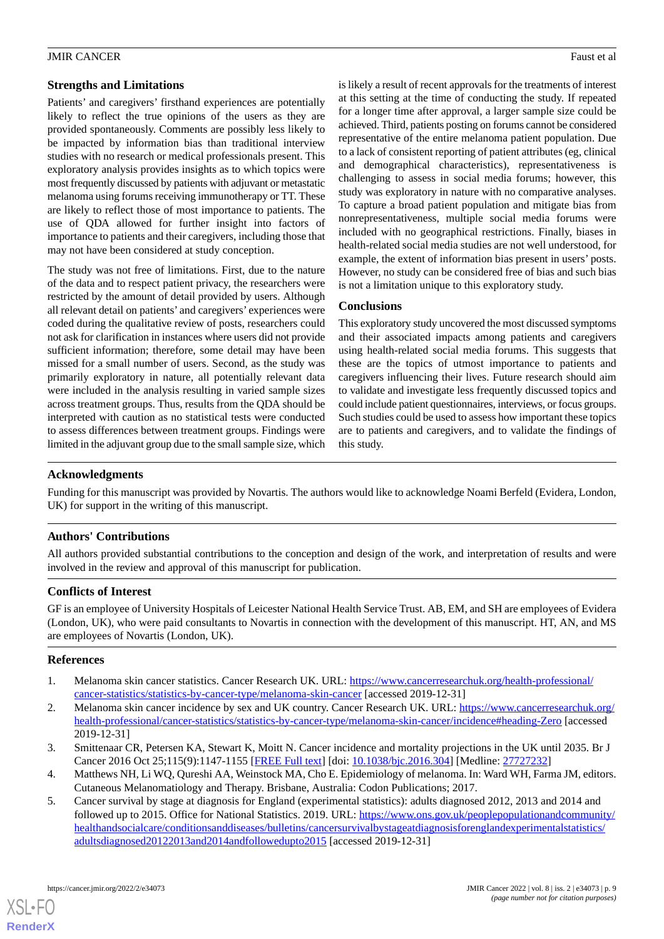# **Strengths and Limitations**

Patients' and caregivers' firsthand experiences are potentially likely to reflect the true opinions of the users as they are provided spontaneously. Comments are possibly less likely to be impacted by information bias than traditional interview studies with no research or medical professionals present. This exploratory analysis provides insights as to which topics were most frequently discussed by patients with adjuvant or metastatic melanoma using forums receiving immunotherapy or TT. These are likely to reflect those of most importance to patients. The use of QDA allowed for further insight into factors of importance to patients and their caregivers, including those that may not have been considered at study conception.

The study was not free of limitations. First, due to the nature of the data and to respect patient privacy, the researchers were restricted by the amount of detail provided by users. Although all relevant detail on patients' and caregivers' experiences were coded during the qualitative review of posts, researchers could not ask for clarification in instances where users did not provide sufficient information; therefore, some detail may have been missed for a small number of users. Second, as the study was primarily exploratory in nature, all potentially relevant data were included in the analysis resulting in varied sample sizes across treatment groups. Thus, results from the QDA should be interpreted with caution as no statistical tests were conducted to assess differences between treatment groups. Findings were limited in the adjuvant group due to the small sample size, which

is likely a result of recent approvals for the treatments of interest at this setting at the time of conducting the study. If repeated for a longer time after approval, a larger sample size could be achieved. Third, patients posting on forums cannot be considered representative of the entire melanoma patient population. Due to a lack of consistent reporting of patient attributes (eg, clinical and demographical characteristics), representativeness is challenging to assess in social media forums; however, this study was exploratory in nature with no comparative analyses. To capture a broad patient population and mitigate bias from nonrepresentativeness, multiple social media forums were included with no geographical restrictions. Finally, biases in health-related social media studies are not well understood, for example, the extent of information bias present in users' posts. However, no study can be considered free of bias and such bias is not a limitation unique to this exploratory study.

# **Conclusions**

This exploratory study uncovered the most discussed symptoms and their associated impacts among patients and caregivers using health-related social media forums. This suggests that these are the topics of utmost importance to patients and caregivers influencing their lives. Future research should aim to validate and investigate less frequently discussed topics and could include patient questionnaires, interviews, or focus groups. Such studies could be used to assess how important these topics are to patients and caregivers, and to validate the findings of this study.

# **Acknowledgments**

Funding for this manuscript was provided by Novartis. The authors would like to acknowledge Noami Berfeld (Evidera, London, UK) for support in the writing of this manuscript.

# **Authors' Contributions**

All authors provided substantial contributions to the conception and design of the work, and interpretation of results and were involved in the review and approval of this manuscript for publication.

## **Conflicts of Interest**

<span id="page-8-0"></span>GF is an employee of University Hospitals of Leicester National Health Service Trust. AB, EM, and SH are employees of Evidera (London, UK), who were paid consultants to Novartis in connection with the development of this manuscript. HT, AN, and MS are employees of Novartis (London, UK).

## <span id="page-8-1"></span>**References**

- <span id="page-8-2"></span>1. Melanoma skin cancer statistics. Cancer Research UK. URL: [https://www.cancerresearchuk.org/health-professional/](https://www.cancerresearchuk.org/health-professional/cancer-statistics/statistics-by-cancer-type/melanoma-skin-cancer) [cancer-statistics/statistics-by-cancer-type/melanoma-skin-cancer](https://www.cancerresearchuk.org/health-professional/cancer-statistics/statistics-by-cancer-type/melanoma-skin-cancer) [accessed 2019-12-31]
- <span id="page-8-4"></span><span id="page-8-3"></span>2. Melanoma skin cancer incidence by sex and UK country. Cancer Research UK. URL: [https://www.cancerresearchuk.org/](https://www.cancerresearchuk.org/health-professional/cancer-statistics/statistics-by-cancer-type/melanoma-skin-cancer/incidence#heading-Zero) [health-professional/cancer-statistics/statistics-by-cancer-type/melanoma-skin-cancer/incidence#heading-Zero](https://www.cancerresearchuk.org/health-professional/cancer-statistics/statistics-by-cancer-type/melanoma-skin-cancer/incidence#heading-Zero) [accessed 2019-12-31]
- 3. Smittenaar CR, Petersen KA, Stewart K, Moitt N. Cancer incidence and mortality projections in the UK until 2035. Br J Cancer 2016 Oct 25;115(9):1147-1155 [\[FREE Full text\]](http://europepmc.org/abstract/MED/27727232) [doi: [10.1038/bjc.2016.304](http://dx.doi.org/10.1038/bjc.2016.304)] [Medline: [27727232](http://www.ncbi.nlm.nih.gov/entrez/query.fcgi?cmd=Retrieve&db=PubMed&list_uids=27727232&dopt=Abstract)]
- 4. Matthews NH, Li WQ, Qureshi AA, Weinstock MA, Cho E. Epidemiology of melanoma. In: Ward WH, Farma JM, editors. Cutaneous Melanomatiology and Therapy. Brisbane, Australia: Codon Publications; 2017.
- 5. Cancer survival by stage at diagnosis for England (experimental statistics): adults diagnosed 2012, 2013 and 2014 and followed up to 2015. Office for National Statistics. 2019. URL: [https://www.ons.gov.uk/peoplepopulationandcommunity/](https://www.ons.gov.uk/peoplepopulationandcommunity/healthandsocialcare/conditionsanddiseases/bulletins/cancersurvivalbystageatdiagnosisforenglandexperimentalstatistics/adultsdiagnosed20122013and2014andfollowedupto2015) [healthandsocialcare/conditionsanddiseases/bulletins/cancersurvivalbystageatdiagnosisforenglandexperimentalstatistics/](https://www.ons.gov.uk/peoplepopulationandcommunity/healthandsocialcare/conditionsanddiseases/bulletins/cancersurvivalbystageatdiagnosisforenglandexperimentalstatistics/adultsdiagnosed20122013and2014andfollowedupto2015) [adultsdiagnosed20122013and2014andfollowedupto2015](https://www.ons.gov.uk/peoplepopulationandcommunity/healthandsocialcare/conditionsanddiseases/bulletins/cancersurvivalbystageatdiagnosisforenglandexperimentalstatistics/adultsdiagnosed20122013and2014andfollowedupto2015) [accessed 2019-12-31]

[XSL](http://www.w3.org/Style/XSL)•FO **[RenderX](http://www.renderx.com/)**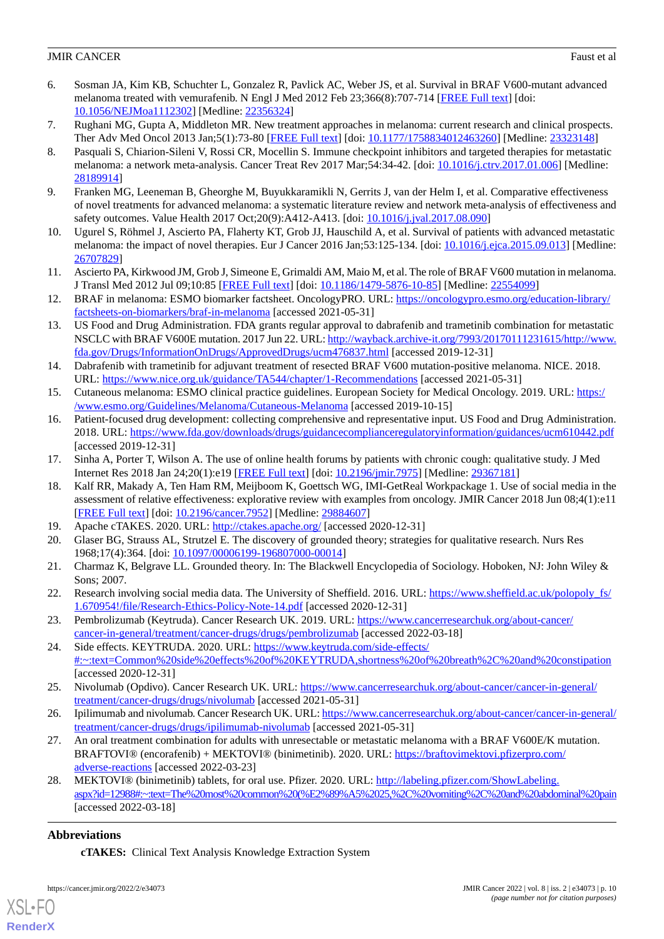- <span id="page-9-0"></span>6. Sosman JA, Kim KB, Schuchter L, Gonzalez R, Pavlick AC, Weber JS, et al. Survival in BRAF V600-mutant advanced melanoma treated with vemurafenib. N Engl J Med 2012 Feb 23;366(8):707-714 [\[FREE Full text\]](http://europepmc.org/abstract/MED/22356324) [doi: [10.1056/NEJMoa1112302](http://dx.doi.org/10.1056/NEJMoa1112302)] [Medline: [22356324](http://www.ncbi.nlm.nih.gov/entrez/query.fcgi?cmd=Retrieve&db=PubMed&list_uids=22356324&dopt=Abstract)]
- <span id="page-9-2"></span><span id="page-9-1"></span>7. Rughani MG, Gupta A, Middleton MR. New treatment approaches in melanoma: current research and clinical prospects. Ther Adv Med Oncol 2013 Jan;5(1):73-80 [[FREE Full text](https://journals.sagepub.com/doi/10.1177/1758834012463260?url_ver=Z39.88-2003&rfr_id=ori:rid:crossref.org&rfr_dat=cr_pub%3dpubmed)] [doi: [10.1177/1758834012463260\]](http://dx.doi.org/10.1177/1758834012463260) [Medline: [23323148](http://www.ncbi.nlm.nih.gov/entrez/query.fcgi?cmd=Retrieve&db=PubMed&list_uids=23323148&dopt=Abstract)]
- 8. Pasquali S, Chiarion-Sileni V, Rossi CR, Mocellin S. Immune checkpoint inhibitors and targeted therapies for metastatic melanoma: a network meta-analysis. Cancer Treat Rev 2017 Mar;54:34-42. [doi: [10.1016/j.ctrv.2017.01.006](http://dx.doi.org/10.1016/j.ctrv.2017.01.006)] [Medline: [28189914](http://www.ncbi.nlm.nih.gov/entrez/query.fcgi?cmd=Retrieve&db=PubMed&list_uids=28189914&dopt=Abstract)]
- <span id="page-9-4"></span><span id="page-9-3"></span>9. Franken MG, Leeneman B, Gheorghe M, Buyukkaramikli N, Gerrits J, van der Helm I, et al. Comparative effectiveness of novel treatments for advanced melanoma: a systematic literature review and network meta-analysis of effectiveness and safety outcomes. Value Health 2017 Oct; 20(9): A412-A413. [doi: [10.1016/j.jval.2017.08.090\]](http://dx.doi.org/10.1016/j.jval.2017.08.090)
- 10. Ugurel S, Röhmel J, Ascierto PA, Flaherty KT, Grob JJ, Hauschild A, et al. Survival of patients with advanced metastatic melanoma: the impact of novel therapies. Eur J Cancer 2016 Jan;53:125-134. [doi: [10.1016/j.ejca.2015.09.013\]](http://dx.doi.org/10.1016/j.ejca.2015.09.013) [Medline: [26707829](http://www.ncbi.nlm.nih.gov/entrez/query.fcgi?cmd=Retrieve&db=PubMed&list_uids=26707829&dopt=Abstract)]
- <span id="page-9-5"></span>11. Ascierto PA, Kirkwood JM, Grob J, Simeone E, Grimaldi AM, Maio M, et al. The role of BRAF V600 mutation in melanoma. J Transl Med 2012 Jul 09;10:85 [[FREE Full text\]](https://translational-medicine.biomedcentral.com/articles/10.1186/1479-5876-10-85) [doi: [10.1186/1479-5876-10-85](http://dx.doi.org/10.1186/1479-5876-10-85)] [Medline: [22554099](http://www.ncbi.nlm.nih.gov/entrez/query.fcgi?cmd=Retrieve&db=PubMed&list_uids=22554099&dopt=Abstract)]
- <span id="page-9-6"></span>12. BRAF in melanoma: ESMO biomarker factsheet. OncologyPRO. URL: [https://oncologypro.esmo.org/education-library/](https://oncologypro.esmo.org/education-library/factsheets-on-biomarkers/braf-in-melanoma) [factsheets-on-biomarkers/braf-in-melanoma](https://oncologypro.esmo.org/education-library/factsheets-on-biomarkers/braf-in-melanoma) [accessed 2021-05-31]
- <span id="page-9-7"></span>13. US Food and Drug Administration. FDA grants regular approval to dabrafenib and trametinib combination for metastatic NSCLC with BRAF V600E mutation. 2017 Jun 22. URL: [http://wayback.archive-it.org/7993/20170111231615/http://www.](http://wayback.archive-it.org/7993/20170111231615/http://www.fda.gov/Drugs/InformationOnDrugs/ApprovedDrugs/ucm476837.html) [fda.gov/Drugs/InformationOnDrugs/ApprovedDrugs/ucm476837.html](http://wayback.archive-it.org/7993/20170111231615/http://www.fda.gov/Drugs/InformationOnDrugs/ApprovedDrugs/ucm476837.html) [accessed 2019-12-31]
- <span id="page-9-9"></span><span id="page-9-8"></span>14. Dabrafenib with trametinib for adjuvant treatment of resected BRAF V600 mutation-positive melanoma. NICE. 2018. URL: <https://www.nice.org.uk/guidance/TA544/chapter/1-Recommendations> [accessed 2021-05-31]
- 15. Cutaneous melanoma: ESMO clinical practice guidelines. European Society for Medical Oncology. 2019. URL: [https:/](https://www.esmo.org/Guidelines/Melanoma/Cutaneous-Melanoma) [/www.esmo.org/Guidelines/Melanoma/Cutaneous-Melanoma](https://www.esmo.org/Guidelines/Melanoma/Cutaneous-Melanoma) [accessed 2019-10-15]
- <span id="page-9-11"></span><span id="page-9-10"></span>16. Patient-focused drug development: collecting comprehensive and representative input. US Food and Drug Administration. 2018. URL: <https://www.fda.gov/downloads/drugs/guidancecomplianceregulatoryinformation/guidances/ucm610442.pdf> [accessed 2019-12-31]
- 17. Sinha A, Porter T, Wilson A. The use of online health forums by patients with chronic cough: qualitative study. J Med Internet Res 2018 Jan 24;20(1):e19 [\[FREE Full text\]](https://www.jmir.org/2018/1/e19/) [doi: [10.2196/jmir.7975\]](http://dx.doi.org/10.2196/jmir.7975) [Medline: [29367181\]](http://www.ncbi.nlm.nih.gov/entrez/query.fcgi?cmd=Retrieve&db=PubMed&list_uids=29367181&dopt=Abstract)
- <span id="page-9-13"></span><span id="page-9-12"></span>18. Kalf RR, Makady A, Ten Ham RM, Meijboom K, Goettsch WG, IMI-GetReal Workpackage 1. Use of social media in the assessment of relative effectiveness: explorative review with examples from oncology. JMIR Cancer 2018 Jun 08;4(1):e11 [[FREE Full text](https://cancer.jmir.org/2018/1/e11/)] [doi: [10.2196/cancer.7952\]](http://dx.doi.org/10.2196/cancer.7952) [Medline: [29884607\]](http://www.ncbi.nlm.nih.gov/entrez/query.fcgi?cmd=Retrieve&db=PubMed&list_uids=29884607&dopt=Abstract)
- <span id="page-9-14"></span>19. Apache cTAKES. 2020. URL: <http://ctakes.apache.org/> [accessed 2020-12-31]
- <span id="page-9-15"></span>20. Glaser BG, Strauss AL, Strutzel E. The discovery of grounded theory; strategies for qualitative research. Nurs Res 1968;17(4):364. [doi: [10.1097/00006199-196807000-00014](http://dx.doi.org/10.1097/00006199-196807000-00014)]
- <span id="page-9-16"></span>21. Charmaz K, Belgrave LL. Grounded theory. In: The Blackwell Encyclopedia of Sociology. Hoboken, NJ: John Wiley & Sons; 2007.
- <span id="page-9-17"></span>22. Research involving social media data. The University of Sheffield. 2016. URL: https://www.sheffield.ac.uk/polopoly fs/ [1.670954!/file/Research-Ethics-Policy-Note-14.pdf](https://www.sheffield.ac.uk/polopoly_fs/1.670954!/file/Research-Ethics-Policy-Note-14.pdf) [accessed 2020-12-31]
- <span id="page-9-18"></span>23. Pembrolizumab (Keytruda). Cancer Research UK. 2019. URL: [https://www.cancerresearchuk.org/about-cancer/](https://www.cancerresearchuk.org/about-cancer/cancer-in-general/treatment/cancer-drugs/drugs/pembrolizumab) [cancer-in-general/treatment/cancer-drugs/drugs/pembrolizumab](https://www.cancerresearchuk.org/about-cancer/cancer-in-general/treatment/cancer-drugs/drugs/pembrolizumab) [accessed 2022-03-18]
- <span id="page-9-19"></span>24. Side effects. KEYTRUDA. 2020. URL: [https://www.keytruda.com/side-effects/](https://www.keytruda.com/side-effects/#:~:text=Common%20side%20effects%20of%20KEYTRUDA,shortness%20of%20breath%2C%20and%20constipation) [#:~:text=Common%20side%20effects%20of%20KEYTRUDA,shortness%20of%20breath%2C%20and%20constipation](https://www.keytruda.com/side-effects/#:~:text=Common%20side%20effects%20of%20KEYTRUDA,shortness%20of%20breath%2C%20and%20constipation) [accessed 2020-12-31]
- <span id="page-9-20"></span>25. Nivolumab (Opdivo). Cancer Research UK. URL: [https://www.cancerresearchuk.org/about-cancer/cancer-in-general/](https://www.cancerresearchuk.org/about-cancer/cancer-in-general/treatment/cancer-drugs/drugs/nivolumab) [treatment/cancer-drugs/drugs/nivolumab](https://www.cancerresearchuk.org/about-cancer/cancer-in-general/treatment/cancer-drugs/drugs/nivolumab) [accessed 2021-05-31]
- <span id="page-9-21"></span>26. Ipilimumab and nivolumab. Cancer Research UK. URL: [https://www.cancerresearchuk.org/about-cancer/cancer-in-general/](https://www.cancerresearchuk.org/about-cancer/cancer-in-general/treatment/cancer-drugs/drugs/ipilimumab-nivolumab) [treatment/cancer-drugs/drugs/ipilimumab-nivolumab](https://www.cancerresearchuk.org/about-cancer/cancer-in-general/treatment/cancer-drugs/drugs/ipilimumab-nivolumab) [accessed 2021-05-31]
- 27. An oral treatment combination for adults with unresectable or metastatic melanoma with a BRAF V600E/K mutation. BRAFTOVI® (encorafenib) + MEKTOVI® (binimetinib). 2020. URL: [https://braftovimektovi.pfizerpro.com/](https://braftovimektovi.pfizerpro.com/adverse-reactions) [adverse-reactions](https://braftovimektovi.pfizerpro.com/adverse-reactions) [accessed 2022-03-23]
- 28. MEKTOVI® (binimetinib) tablets, for oral use. Pfizer. 2020. URL: [http://labeling.pfizer.com/ShowLabeling.](http://labeling.pfizer.com/ShowLabeling.aspx?id=12988#:~:text=The%20most%20common%20(%E2%89%A5%2025,%2C%20vomiting%2C%20and%20abdominal%20pain) [aspx?id=12988#:~:text=The%20most%20common%20\(%E2%89%A5%2025,%2C%20vomiting%2C%20and%20abdominal%20pain](http://labeling.pfizer.com/ShowLabeling.aspx?id=12988#:~:text=The%20most%20common%20(%E2%89%A5%2025,%2C%20vomiting%2C%20and%20abdominal%20pain) [accessed 2022-03-18]

# **Abbreviations**

[XSL](http://www.w3.org/Style/XSL)•FO **[RenderX](http://www.renderx.com/)**

**cTAKES:** Clinical Text Analysis Knowledge Extraction System